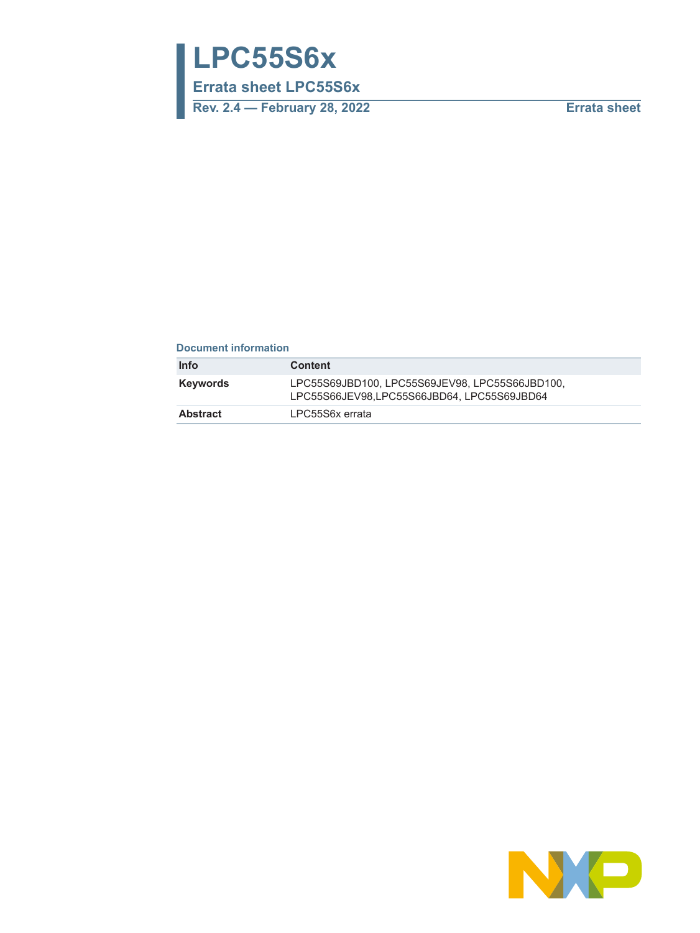# **LPC55S6x**

**Errata sheet LPC55S6x**

**Rev. 2.4 — February 28, 2022 Errata sheet**

# **Document information**

| Info     | <b>Content</b>                                                                             |
|----------|--------------------------------------------------------------------------------------------|
| Keywords | LPC55S69JBD100.LPC55S69JEV98.LPC55S66JBD100.<br>LPC55S66JEV98,LPC55S66JBD64, LPC55S69JBD64 |
| Abstract | LPC55S6x errata                                                                            |

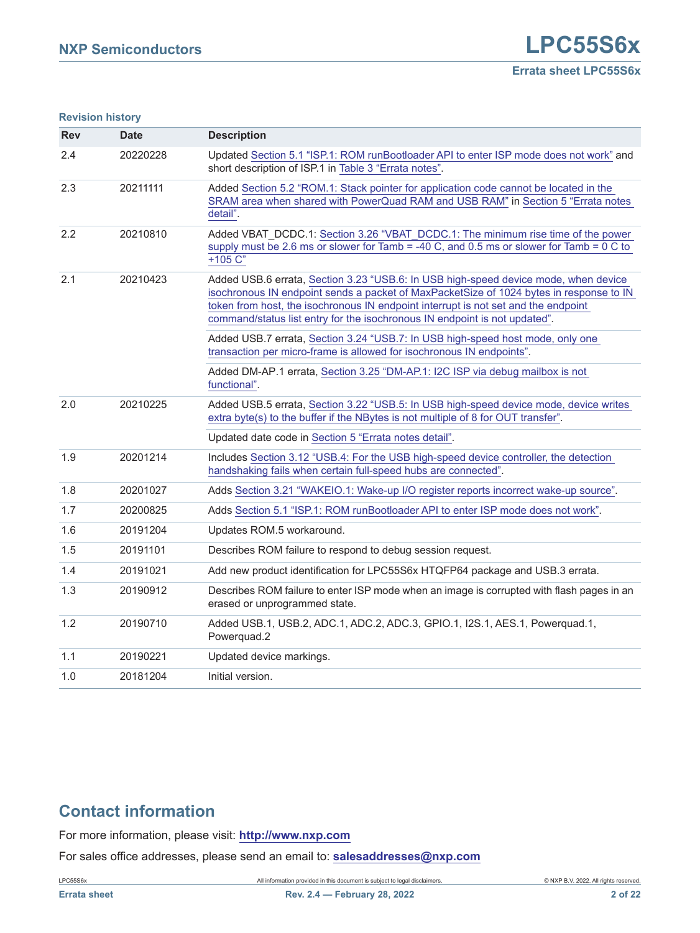#### **Revision history**

| <b>Rev</b>      | <b>Date</b> | <b>Description</b>                                                                                                                                                                                                                                                                                                                                 |  |
|-----------------|-------------|----------------------------------------------------------------------------------------------------------------------------------------------------------------------------------------------------------------------------------------------------------------------------------------------------------------------------------------------------|--|
| 2.4             | 20220228    | Updated Section 5.1 "ISP.1: ROM runBootloader API to enter ISP mode does not work" and<br>short description of ISP.1 in Table 3 "Errata notes".                                                                                                                                                                                                    |  |
| 2.3             | 20211111    | Added Section 5.2 "ROM.1: Stack pointer for application code cannot be located in the<br>SRAM area when shared with PowerQuad RAM and USB RAM" in Section 5 "Errata notes<br>detail".                                                                                                                                                              |  |
| 2.2             | 20210810    | Added VBAT DCDC.1: Section 3.26 "VBAT DCDC.1: The minimum rise time of the power<br>supply must be 2.6 ms or slower for Tamb = -40 C, and 0.5 ms or slower for Tamb = $0 \text{ C}$ to<br>$+105 C$                                                                                                                                                 |  |
| 2.1<br>20210423 |             | Added USB.6 errata, Section 3.23 "USB.6: In USB high-speed device mode, when device<br>isochronous IN endpoint sends a packet of MaxPacketSize of 1024 bytes in response to IN<br>token from host, the isochronous IN endpoint interrupt is not set and the endpoint<br>command/status list entry for the isochronous IN endpoint is not updated". |  |
|                 |             | Added USB.7 errata, Section 3.24 "USB.7: In USB high-speed host mode, only one<br>transaction per micro-frame is allowed for isochronous IN endpoints".                                                                                                                                                                                            |  |
|                 |             | Added DM-AP.1 errata, Section 3.25 "DM-AP.1: I2C ISP via debug mailbox is not<br>functional".                                                                                                                                                                                                                                                      |  |
| 2.0             | 20210225    | Added USB.5 errata, Section 3.22 "USB.5: In USB high-speed device mode, device writes<br>extra byte(s) to the buffer if the NBytes is not multiple of 8 for OUT transfer".                                                                                                                                                                         |  |
|                 |             | Updated date code in Section 5 "Errata notes detail".                                                                                                                                                                                                                                                                                              |  |
| 1.9             | 20201214    | Includes Section 3.12 "USB.4: For the USB high-speed device controller, the detection<br>handshaking fails when certain full-speed hubs are connected".                                                                                                                                                                                            |  |
| 1.8             | 20201027    | Adds Section 3.21 "WAKEIO.1: Wake-up I/O register reports incorrect wake-up source".                                                                                                                                                                                                                                                               |  |
| 1.7             | 20200825    | Adds Section 5.1 "ISP.1: ROM runBootloader API to enter ISP mode does not work".                                                                                                                                                                                                                                                                   |  |
| 1.6             | 20191204    | Updates ROM.5 workaround.                                                                                                                                                                                                                                                                                                                          |  |
| 1.5             | 20191101    | Describes ROM failure to respond to debug session request.                                                                                                                                                                                                                                                                                         |  |
| 1.4             | 20191021    | Add new product identification for LPC55S6x HTQFP64 package and USB.3 errata.                                                                                                                                                                                                                                                                      |  |
| 1.3             | 20190912    | Describes ROM failure to enter ISP mode when an image is corrupted with flash pages in an<br>erased or unprogrammed state.                                                                                                                                                                                                                         |  |
| 1.2             | 20190710    | Added USB.1, USB.2, ADC.1, ADC.2, ADC.3, GPIO.1, I2S.1, AES.1, Powerquad.1,<br>Powerquad.2                                                                                                                                                                                                                                                         |  |
| 1.1             | 20190221    | Updated device markings.                                                                                                                                                                                                                                                                                                                           |  |
| 1.0             | 20181204    | Initial version.                                                                                                                                                                                                                                                                                                                                   |  |

# **Contact information**

For more information, please visit: **http://www.nxp.com**

For sales office addresses, please send an email to: **salesaddresses@nxp.com**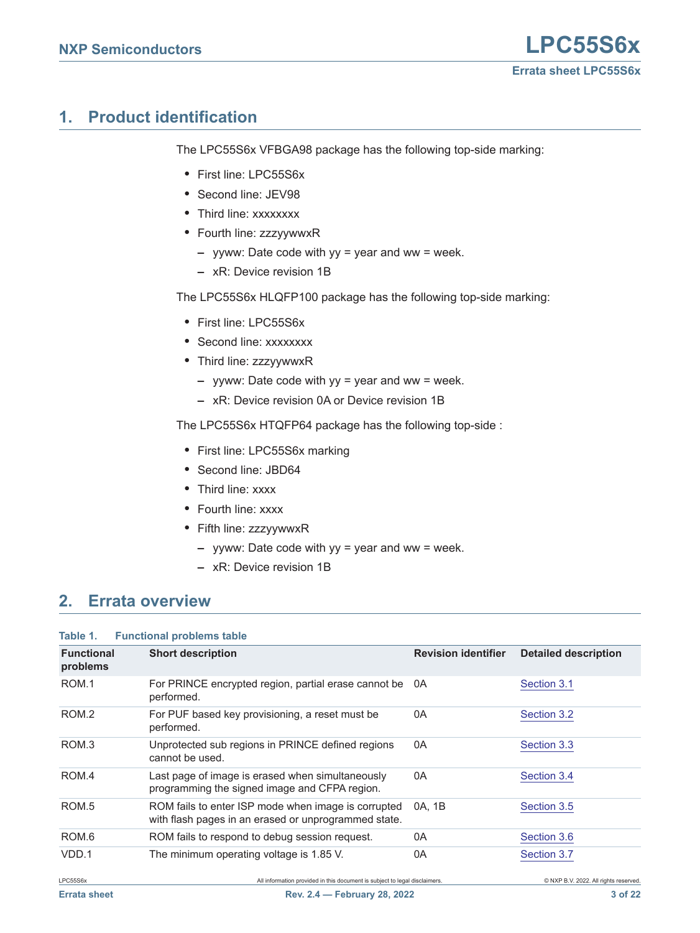# <span id="page-2-0"></span>**1. Product identification**

The LPC55S6x VFBGA98 package has the following top-side marking:

- **•** First line: LPC55S6x
- **•** Second line: JEV98
- **•** Third line: xxxxxxxx
- **•** Fourth line: zzzyywwxR
	- **–** yyww: Date code with yy = year and ww = week.
	- **–** xR: Device revision 1B

The LPC55S6x HLQFP100 package has the following top-side marking:

- **•** First line: LPC55S6x
- **•** Second line: xxxxxxxx
- **•** Third line: zzzyywwxR
	- **–** yyww: Date code with yy = year and ww = week.
	- **–** xR: Device revision 0A or Device revision 1B

The LPC55S6x HTQFP64 package has the following top-side :

- **•** First line: LPC55S6x marking
- **•** Second line: JBD64
- **•** Third line: xxxx
- **•** Fourth line: xxxx
- **•** Fifth line: zzzyywwxR
	- **–** yyww: Date code with yy = year and ww = week.
	- **–** xR: Device revision 1B

# <span id="page-2-1"></span>**2. Errata overview**

| Table 1.<br><b>Functional problems table</b> |                                                                                                             |                            |                                       |
|----------------------------------------------|-------------------------------------------------------------------------------------------------------------|----------------------------|---------------------------------------|
| <b>Functional</b><br>problems                | <b>Short description</b>                                                                                    | <b>Revision identifier</b> | <b>Detailed description</b>           |
| ROM.1                                        | For PRINCE encrypted region, partial erase cannot be<br>performed.                                          | 0A                         | Section 3.1                           |
| ROM.2                                        | For PUF based key provisioning, a reset must be<br>performed.                                               | 0A                         | Section 3.2                           |
| ROM <sub>3</sub>                             | Unprotected sub regions in PRINCE defined regions<br>cannot be used.                                        | 0A                         | Section 3.3                           |
| ROM.4                                        | Last page of image is erased when simultaneously<br>programming the signed image and CFPA region.           | 0A                         | Section 3.4                           |
| ROM <sub>.5</sub>                            | ROM fails to enter ISP mode when image is corrupted<br>with flash pages in an erased or unprogrammed state. | 0A, 1B                     | Section 3.5                           |
| ROM <sub>.6</sub>                            | ROM fails to respond to debug session request.                                                              | 0A                         | Section 3.6                           |
| VDD.1                                        | The minimum operating voltage is 1.85 V.                                                                    | 0A                         | Section 3.7                           |
| LPC55S6x                                     | All information provided in this document is subject to legal disclaimers.                                  |                            | C NXP B.V. 2022. All rights reserved. |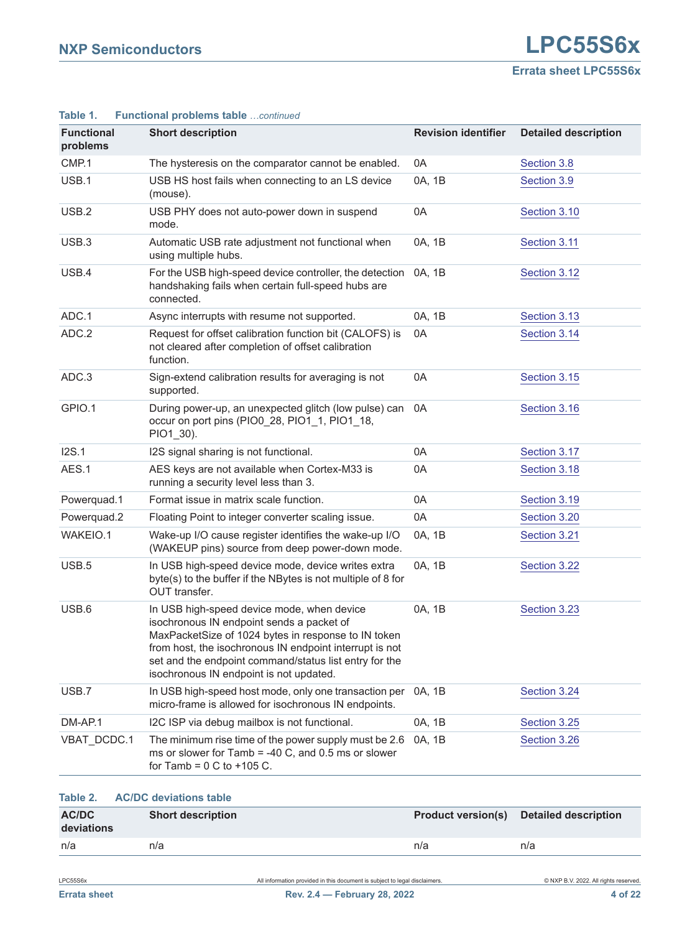| <b>Functional</b><br>problems | <b>Short description</b>                                                                                                                                                                                                                                                                                       | <b>Revision identifier</b> | <b>Detailed description</b> |
|-------------------------------|----------------------------------------------------------------------------------------------------------------------------------------------------------------------------------------------------------------------------------------------------------------------------------------------------------------|----------------------------|-----------------------------|
| CMP.1                         | The hysteresis on the comparator cannot be enabled.                                                                                                                                                                                                                                                            | 0A                         | Section 3.8                 |
| USB.1                         | USB HS host fails when connecting to an LS device<br>(mouse).                                                                                                                                                                                                                                                  | 0A, 1B                     | Section 3.9                 |
| USB.2                         | USB PHY does not auto-power down in suspend<br>mode.                                                                                                                                                                                                                                                           | 0A                         | Section 3.10                |
| USB.3                         | Automatic USB rate adjustment not functional when<br>using multiple hubs.                                                                                                                                                                                                                                      | 0A, 1B                     | Section 3.11                |
| USB.4                         | For the USB high-speed device controller, the detection<br>handshaking fails when certain full-speed hubs are<br>connected.                                                                                                                                                                                    | 0A, 1B                     | Section 3.12                |
| ADC.1                         | Async interrupts with resume not supported.                                                                                                                                                                                                                                                                    | 0A, 1B                     | Section 3.13                |
| ADC.2                         | Request for offset calibration function bit (CALOFS) is<br>not cleared after completion of offset calibration<br>function.                                                                                                                                                                                     | 0A                         | Section 3.14                |
| ADC.3                         | Sign-extend calibration results for averaging is not<br>supported.                                                                                                                                                                                                                                             | 0A                         | Section 3.15                |
| GPIO.1                        | During power-up, an unexpected glitch (low pulse) can<br>occur on port pins (PIO0_28, PIO1_1, PIO1_18,<br>PIO1_30).                                                                                                                                                                                            | 0A                         | Section 3.16                |
| I2S.1                         | I2S signal sharing is not functional.                                                                                                                                                                                                                                                                          | 0A                         | Section 3.17                |
| AES.1                         | AES keys are not available when Cortex-M33 is<br>running a security level less than 3.                                                                                                                                                                                                                         | 0A                         | Section 3.18                |
| Powerquad.1                   | Format issue in matrix scale function.                                                                                                                                                                                                                                                                         | 0A                         | Section 3.19                |
| Powerquad.2                   | Floating Point to integer converter scaling issue.                                                                                                                                                                                                                                                             | 0A                         | Section 3.20                |
| WAKEIO.1                      | Wake-up I/O cause register identifies the wake-up I/O<br>(WAKEUP pins) source from deep power-down mode.                                                                                                                                                                                                       | 0A, 1B                     | Section 3.21                |
| USB.5                         | In USB high-speed device mode, device writes extra<br>byte(s) to the buffer if the NBytes is not multiple of 8 for<br>OUT transfer.                                                                                                                                                                            | 0A, 1B                     | Section 3.22                |
| USB.6                         | In USB high-speed device mode, when device<br>isochronous IN endpoint sends a packet of<br>MaxPacketSize of 1024 bytes in response to IN token<br>from host, the isochronous IN endpoint interrupt is not<br>set and the endpoint command/status list entry for the<br>isochronous IN endpoint is not updated. | 0A, 1B                     | Section 3.23                |
| USB.7                         | In USB high-speed host mode, only one transaction per<br>micro-frame is allowed for isochronous IN endpoints.                                                                                                                                                                                                  | 0A, 1B                     | Section 3.24                |
| DM-AP.1                       | I2C ISP via debug mailbox is not functional.                                                                                                                                                                                                                                                                   | 0A, 1B                     | Section 3.25                |
| VBAT_DCDC.1                   | The minimum rise time of the power supply must be 2.6<br>ms or slower for Tamb = -40 C, and 0.5 ms or slower<br>for Tamb = $0 \text{ C}$ to +105 C.                                                                                                                                                            | 0A, 1B                     | Section 3.26                |
|                               |                                                                                                                                                                                                                                                                                                                |                            |                             |

#### **Table 1. Functional problems table** *…continued*

|                     | Table 2. AC/DC deviations table |     |                                                |
|---------------------|---------------------------------|-----|------------------------------------------------|
| AC/DC<br>deviations | <b>Short description</b>        |     | <b>Product version(s)</b> Detailed description |
| n/a                 | n/a                             | n/a | n/a                                            |
|                     |                                 |     |                                                |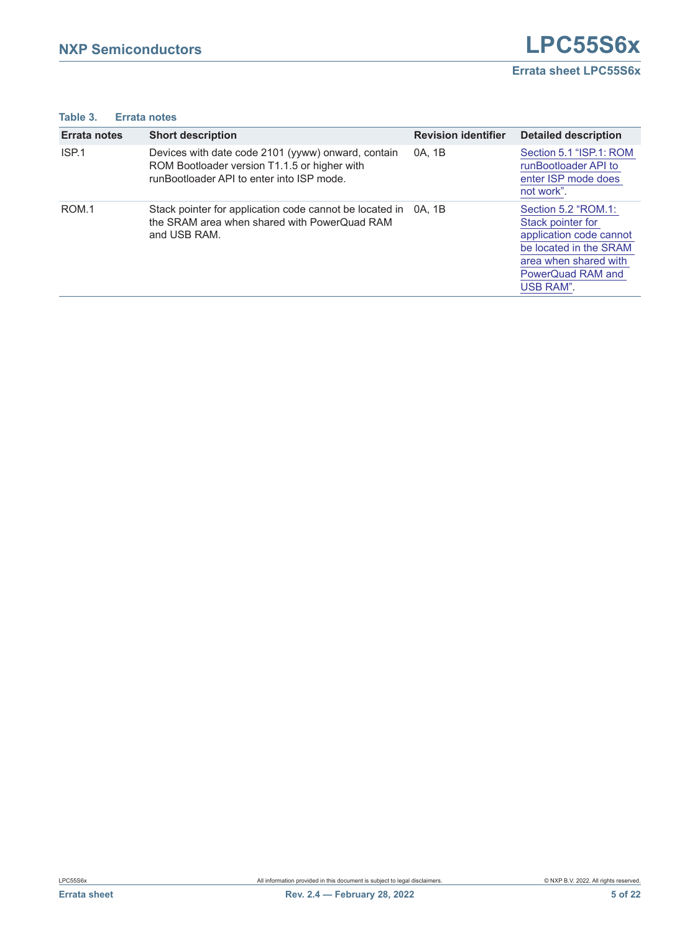# <span id="page-4-0"></span>**Table 3. Errata notes**

| <b>Errata notes</b> | <b>Short description</b>                                                                                                                        | <b>Revision identifier</b> | <b>Detailed description</b>                                                                                                                              |
|---------------------|-------------------------------------------------------------------------------------------------------------------------------------------------|----------------------------|----------------------------------------------------------------------------------------------------------------------------------------------------------|
| ISP.1               | Devices with date code 2101 (yyww) onward, contain<br>ROM Bootloader version T1.1.5 or higher with<br>runBootloader API to enter into ISP mode. | 0A, 1B                     | Section 5.1 "ISP.1: ROM<br>runBootloader API to<br>enter ISP mode does<br>not work".                                                                     |
| ROM.1               | Stack pointer for application code cannot be located in<br>the SRAM area when shared with PowerQuad RAM<br>and USB RAM.                         | 0A. 1B                     | Section 5.2 "ROM.1:<br>Stack pointer for<br>application code cannot<br>be located in the SRAM<br>area when shared with<br>PowerQuad RAM and<br>USB RAM". |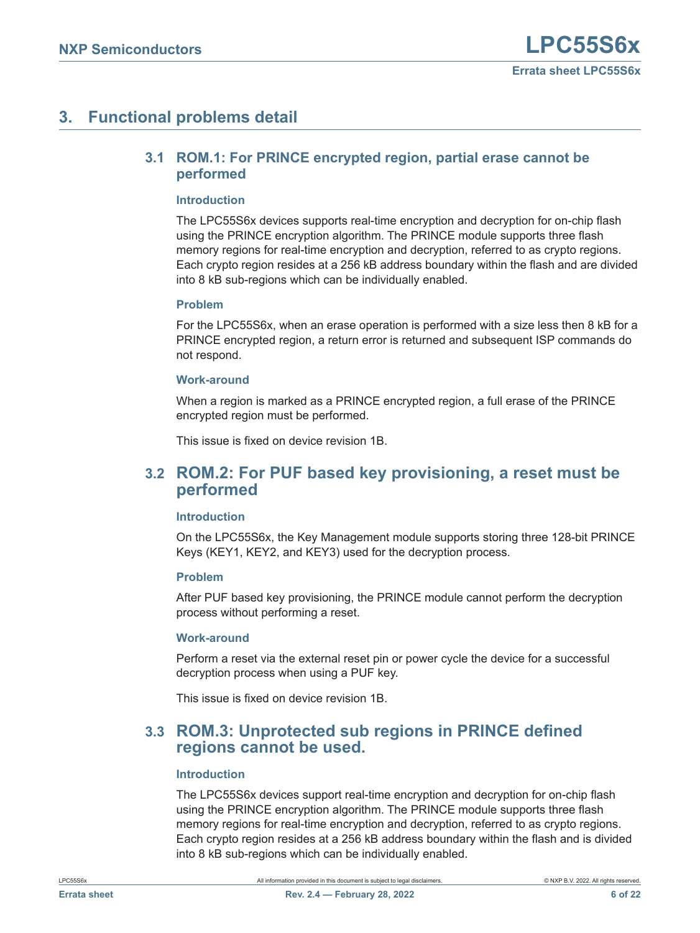# <span id="page-5-3"></span><span id="page-5-0"></span>**3. Functional problems detail**

# **3.1 ROM.1: For PRINCE encrypted region, partial erase cannot be performed**

# <span id="page-5-4"></span>**Introduction**

The LPC55S6x devices supports real-time encryption and decryption for on-chip flash using the PRINCE encryption algorithm. The PRINCE module supports three flash memory regions for real-time encryption and decryption, referred to as crypto regions. Each crypto region resides at a 256 kB address boundary within the flash and are divided into 8 kB sub-regions which can be individually enabled.

# <span id="page-5-5"></span>**Problem**

For the LPC55S6x, when an erase operation is performed with a size less then 8 kB for a PRINCE encrypted region, a return error is returned and subsequent ISP commands do not respond.

# <span id="page-5-6"></span>**Work-around**

When a region is marked as a PRINCE encrypted region, a full erase of the PRINCE encrypted region must be performed.

This issue is fixed on device revision 1B.

# <span id="page-5-1"></span>**3.2 ROM.2: For PUF based key provisioning, a reset must be performed**

# <span id="page-5-7"></span>**Introduction**

On the LPC55S6x, the Key Management module supports storing three 128-bit PRINCE Keys (KEY1, KEY2, and KEY3) used for the decryption process.

# <span id="page-5-8"></span>**Problem**

After PUF based key provisioning, the PRINCE module cannot perform the decryption process without performing a reset.

## <span id="page-5-9"></span>**Work-around**

Perform a reset via the external reset pin or power cycle the device for a successful decryption process when using a PUF key.

This issue is fixed on device revision 1B.

# <span id="page-5-2"></span>**3.3 ROM.3: Unprotected sub regions in PRINCE defined regions cannot be used.**

# <span id="page-5-10"></span>**Introduction**

The LPC55S6x devices support real-time encryption and decryption for on-chip flash using the PRINCE encryption algorithm. The PRINCE module supports three flash memory regions for real-time encryption and decryption, referred to as crypto regions. Each crypto region resides at a 256 kB address boundary within the flash and is divided into 8 kB sub-regions which can be individually enabled.

LPC55S6x All information provided in this document is subject to legal disclaimers. © NXP B.V. 2022. All rights reserved.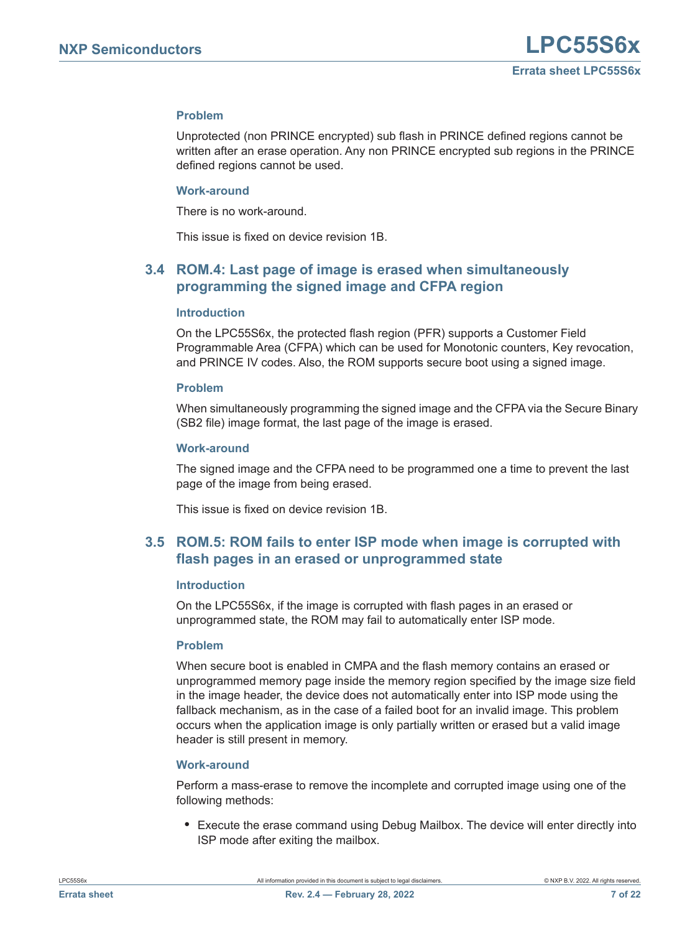# <span id="page-6-2"></span>**Problem**

Unprotected (non PRINCE encrypted) sub flash in PRINCE defined regions cannot be written after an erase operation. Any non PRINCE encrypted sub regions in the PRINCE defined regions cannot be used.

#### <span id="page-6-3"></span>**Work-around**

There is no work-around.

This issue is fixed on device revision 1B.

# <span id="page-6-0"></span>**3.4 ROM.4: Last page of image is erased when simultaneously programming the signed image and CFPA region**

#### <span id="page-6-4"></span>**Introduction**

On the LPC55S6x, the protected flash region (PFR) supports a Customer Field Programmable Area (CFPA) which can be used for Monotonic counters, Key revocation, and PRINCE IV codes. Also, the ROM supports secure boot using a signed image.

#### <span id="page-6-5"></span>**Problem**

When simultaneously programming the signed image and the CFPA via the Secure Binary (SB2 file) image format, the last page of the image is erased.

#### <span id="page-6-6"></span>**Work-around**

The signed image and the CFPA need to be programmed one a time to prevent the last page of the image from being erased.

This issue is fixed on device revision 1B.

# <span id="page-6-1"></span>**3.5 ROM.5: ROM fails to enter ISP mode when image is corrupted with flash pages in an erased or unprogrammed state**

#### <span id="page-6-7"></span>**Introduction**

On the LPC55S6x, if the image is corrupted with flash pages in an erased or unprogrammed state, the ROM may fail to automatically enter ISP mode.

## <span id="page-6-8"></span>**Problem**

When secure boot is enabled in CMPA and the flash memory contains an erased or unprogrammed memory page inside the memory region specified by the image size field in the image header, the device does not automatically enter into ISP mode using the fallback mechanism, as in the case of a failed boot for an invalid image. This problem occurs when the application image is only partially written or erased but a valid image header is still present in memory.

## <span id="page-6-9"></span>**Work-around**

Perform a mass-erase to remove the incomplete and corrupted image using one of the following methods:

**•** Execute the erase command using Debug Mailbox. The device will enter directly into ISP mode after exiting the mailbox.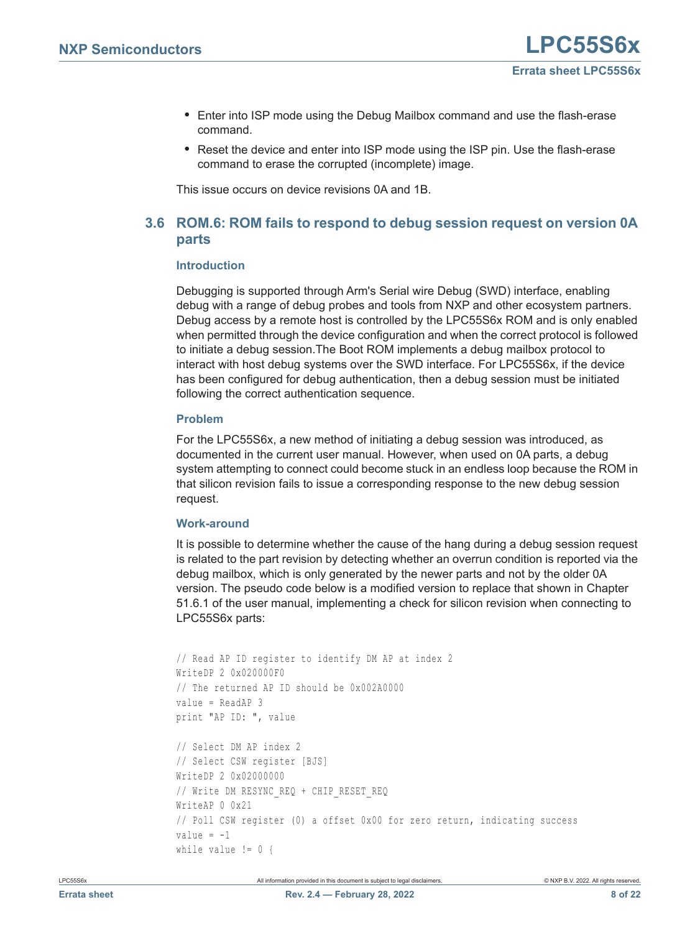- **•** Enter into ISP mode using the Debug Mailbox command and use the flash-erase command.
- **•** Reset the device and enter into ISP mode using the ISP pin. Use the flash-erase command to erase the corrupted (incomplete) image.

This issue occurs on device revisions 0A and 1B.

# <span id="page-7-0"></span>**3.6 ROM.6: ROM fails to respond to debug session request on version 0A parts**

# <span id="page-7-1"></span>**Introduction**

Debugging is supported through Arm's Serial wire Debug (SWD) interface, enabling debug with a range of debug probes and tools from NXP and other ecosystem partners. Debug access by a remote host is controlled by the LPC55S6x ROM and is only enabled when permitted through the device configuration and when the correct protocol is followed to initiate a debug session.The Boot ROM implements a debug mailbox protocol to interact with host debug systems over the SWD interface. For LPC55S6x, if the device has been configured for debug authentication, then a debug session must be initiated following the correct authentication sequence.

# <span id="page-7-2"></span>**Problem**

For the LPC55S6x, a new method of initiating a debug session was introduced, as documented in the current user manual. However, when used on 0A parts, a debug system attempting to connect could become stuck in an endless loop because the ROM in that silicon revision fails to issue a corresponding response to the new debug session request.

# <span id="page-7-3"></span>**Work-around**

It is possible to determine whether the cause of the hang during a debug session request is related to the part revision by detecting whether an overrun condition is reported via the debug mailbox, which is only generated by the newer parts and not by the older 0A version. The pseudo code below is a modified version to replace that shown in Chapter 51.6.1 of the user manual, implementing a check for silicon revision when connecting to LPC55S6x parts:

```
// Read AP ID register to identify DM AP at index 2
WriteDP 2 0x020000F0
// The returned AP ID should be 0x002A0000
value = ReadAP 3
print "AP ID: ", value
// Select DM AP index 2
// Select CSW register [BJS]
WriteDP 2 0x02000000
// Write DM RESYNC REQ + CHIP RESET REQ
WriteAP 0 0x21
// Poll CSW register (0) a offset 0x00 for zero return, indicating success
value = -1while value != 0 {
```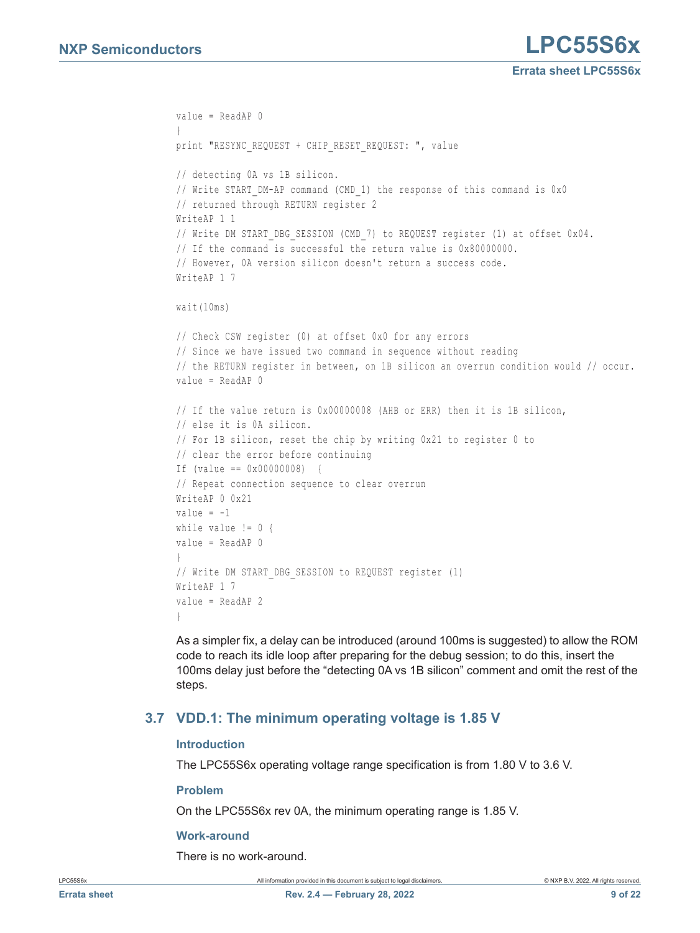```
value = ReadAP 0
}
print "RESYNC REQUEST + CHIP RESET REQUEST: ", value
// detecting 0A vs 1B silicon. 
// Write START_DM-AP command (CMD_1) the response of this command is 0x0
// returned through RETURN register 2
WriteAP 1 1
// Write DM START DBG SESSION (CMD 7) to REQUEST register (1) at offset 0x04.
// If the command is successful the return value is 0x80000000.
// However, 0A version silicon doesn't return a success code.
WriteAP 1 7
wait(10ms) 
// Check CSW register (0) at offset 0x0 for any errors
// Since we have issued two command in sequence without reading 
// the RETURN register in between, on 1B silicon an overrun condition would // occur. 
value = ReadAP 0 
// If the value return is 0x00000008 (AHB or ERR) then it is 1B silicon, 
// else it is 0A silicon.
// For 1B silicon, reset the chip by writing 0x21 to register 0 to 
// clear the error before continuing
If (value == 0x00000008) {
// Repeat connection sequence to clear overrun
WriteAP 0 0x21
value = -1while value != 0 {
value = ReadAP 0
}
// Write DM START_DBG_SESSION to REQUEST register (1)
WriteAP 1 7
value = ReadAP 2
}
```
As a simpler fix, a delay can be introduced (around 100ms is suggested) to allow the ROM code to reach its idle loop after preparing for the debug session; to do this, insert the 100ms delay just before the "detecting 0A vs 1B silicon" comment and omit the rest of the steps.

# <span id="page-8-0"></span>**3.7 VDD.1: The minimum operating voltage is 1.85 V**

## <span id="page-8-1"></span>**Introduction**

The LPC55S6x operating voltage range specification is from 1.80 V to 3.6 V.

## <span id="page-8-2"></span>**Problem**

On the LPC55S6x rev 0A, the minimum operating range is 1.85 V.

## <span id="page-8-3"></span>**Work-around**

There is no work-around.

LPC55S6x **All information provided in this document** is subject to legal disclaimers. **COMPOUT ALL CONTANT CONTANT CONTANT CONTANT CONTANT CONTANT CONTANT CONTANT CONTANT CONTANT CONTANT CONTANT CONTANT CONTANT CONTANT CO**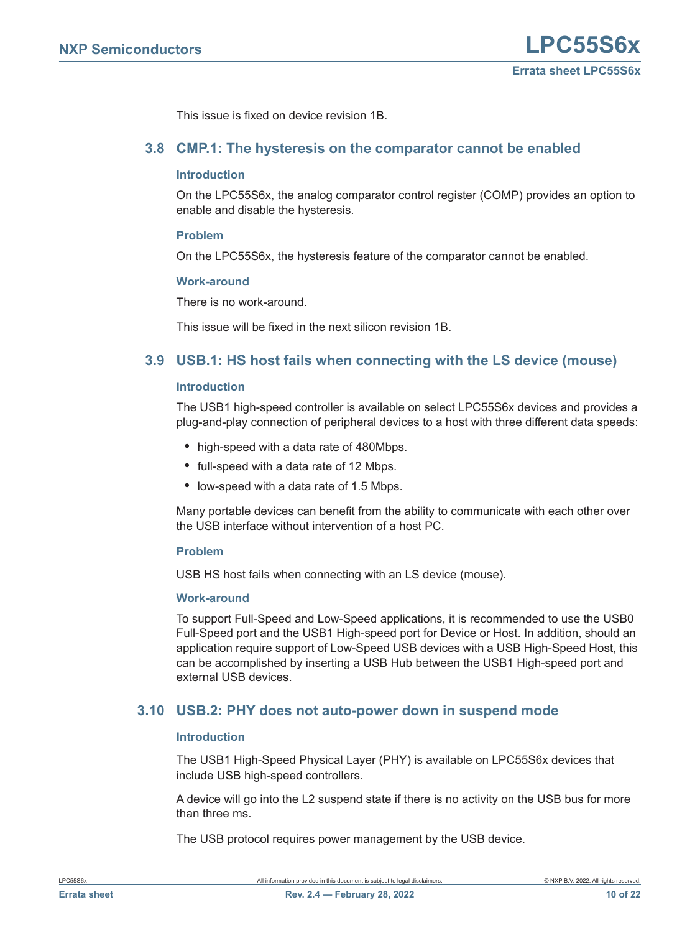This issue is fixed on device revision 1B.

# <span id="page-9-0"></span>**3.8 CMP.1: The hysteresis on the comparator cannot be enabled**

#### <span id="page-9-3"></span>**Introduction**

On the LPC55S6x, the analog comparator control register (COMP) provides an option to enable and disable the hysteresis.

#### <span id="page-9-4"></span>**Problem**

On the LPC55S6x, the hysteresis feature of the comparator cannot be enabled.

#### <span id="page-9-5"></span>**Work-around**

There is no work-around.

This issue will be fixed in the next silicon revision 1B.

# <span id="page-9-1"></span>**3.9 USB.1: HS host fails when connecting with the LS device (mouse)**

#### <span id="page-9-6"></span>**Introduction**

The USB1 high-speed controller is available on select LPC55S6x devices and provides a plug-and-play connection of peripheral devices to a host with three different data speeds:

- **•** high-speed with a data rate of 480Mbps.
- **•** full-speed with a data rate of 12 Mbps.
- **•** low-speed with a data rate of 1.5 Mbps.

Many portable devices can benefit from the ability to communicate with each other over the USB interface without intervention of a host PC.

#### <span id="page-9-7"></span>**Problem**

USB HS host fails when connecting with an LS device (mouse).

#### <span id="page-9-8"></span>**Work-around**

To support Full-Speed and Low-Speed applications, it is recommended to use the USB0 Full-Speed port and the USB1 High-speed port for Device or Host. In addition, should an application require support of Low-Speed USB devices with a USB High-Speed Host, this can be accomplished by inserting a USB Hub between the USB1 High-speed port and external USB devices.

# <span id="page-9-2"></span>**3.10 USB.2: PHY does not auto-power down in suspend mode**

#### <span id="page-9-9"></span>**Introduction**

The USB1 High-Speed Physical Layer (PHY) is available on LPC55S6x devices that include USB high-speed controllers.

A device will go into the L2 suspend state if there is no activity on the USB bus for more than three ms.

The USB protocol requires power management by the USB device.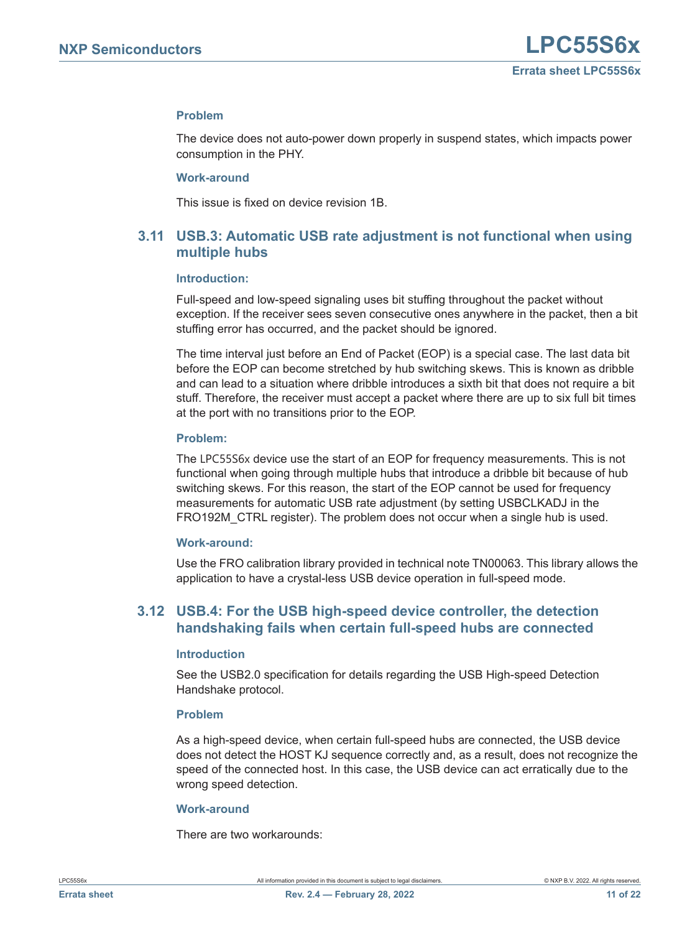# <span id="page-10-2"></span>**Problem**

The device does not auto-power down properly in suspend states, which impacts power consumption in the PHY.

#### <span id="page-10-3"></span>**Work-around**

This issue is fixed on device revision 1B.

# <span id="page-10-1"></span>**3.11 USB.3: Automatic USB rate adjustment is not functional when using multiple hubs**

#### <span id="page-10-4"></span>**Introduction:**

Full-speed and low-speed signaling uses bit stuffing throughout the packet without exception. If the receiver sees seven consecutive ones anywhere in the packet, then a bit stuffing error has occurred, and the packet should be ignored.

The time interval just before an End of Packet (EOP) is a special case. The last data bit before the EOP can become stretched by hub switching skews. This is known as dribble and can lead to a situation where dribble introduces a sixth bit that does not require a bit stuff. Therefore, the receiver must accept a packet where there are up to six full bit times at the port with no transitions prior to the EOP.

#### <span id="page-10-5"></span>**Problem:**

The LPC55S6x device use the start of an EOP for frequency measurements. This is not functional when going through multiple hubs that introduce a dribble bit because of hub switching skews. For this reason, the start of the EOP cannot be used for frequency measurements for automatic USB rate adjustment (by setting USBCLKADJ in the FRO192M\_CTRL register). The problem does not occur when a single hub is used.

#### <span id="page-10-6"></span>**Work-around:**

Use the FRO calibration library provided in technical note TN00063. This library allows the application to have a crystal-less USB device operation in full-speed mode.

# <span id="page-10-0"></span>**3.12 USB.4: For the USB high-speed device controller, the detection handshaking fails when certain full-speed hubs are connected**

#### <span id="page-10-7"></span>**Introduction**

See the USB2.0 specification for details regarding the USB High-speed Detection Handshake protocol.

#### <span id="page-10-8"></span>**Problem**

As a high-speed device, when certain full-speed hubs are connected, the USB device does not detect the HOST KJ sequence correctly and, as a result, does not recognize the speed of the connected host. In this case, the USB device can act erratically due to the wrong speed detection.

#### <span id="page-10-9"></span>**Work-around**

There are two workarounds: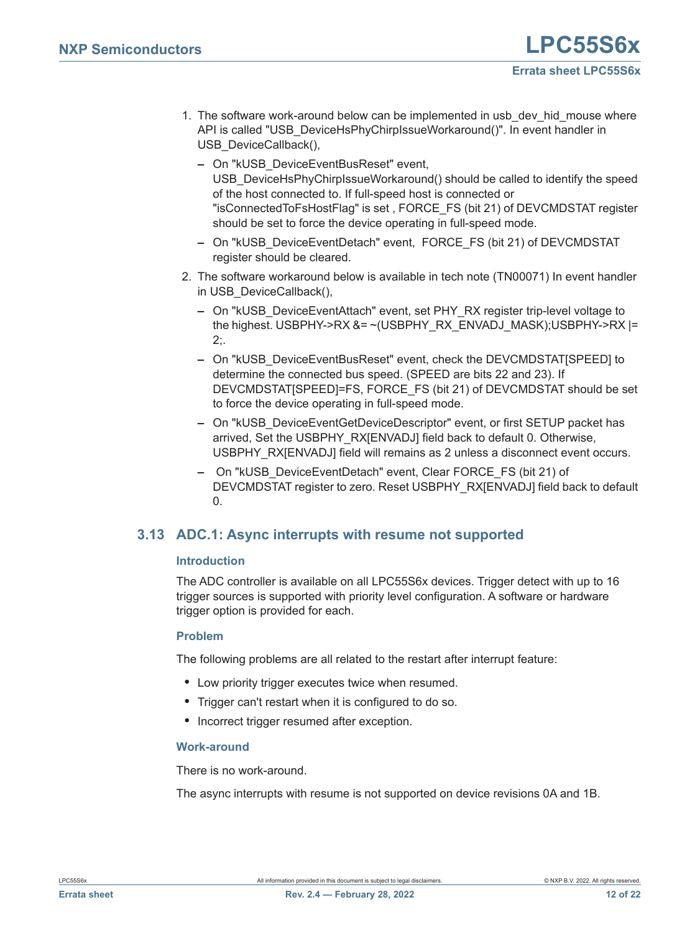- 1. The software work-around below can be implemented in usb\_dev\_hid\_mouse where API is called "USB\_DeviceHsPhyChirpIssueWorkaround()". In event handler in USB\_DeviceCallback(),
	- **–** On "kUSB\_DeviceEventBusReset" event, USB\_DeviceHsPhyChirpIssueWorkaround() should be called to identify the speed of the host connected to. If full-speed host is connected or "isConnectedToFsHostFlag" is set , FORCE\_FS (bit 21) of DEVCMDSTAT register should be set to force the device operating in full-speed mode.
	- **–** On "kUSB\_DeviceEventDetach" event, FORCE\_FS (bit 21) of DEVCMDSTAT register should be cleared.
- 2. The software workaround below is available in tech note (TN00071) In event handler in USB\_DeviceCallback(),
	- **–** On "kUSB\_DeviceEventAttach" event, set PHY\_RX register trip-level voltage to the highest. USBPHY->RX &= ~(USBPHY\_RX\_ENVADJ\_MASK);USBPHY->RX |= 2;.
	- **–** On "kUSB\_DeviceEventBusReset" event, check the DEVCMDSTAT[SPEED] to determine the connected bus speed. (SPEED are bits 22 and 23). If DEVCMDSTAT[SPEED]=FS, FORCE\_FS (bit 21) of DEVCMDSTAT should be set to force the device operating in full-speed mode.
	- **–** On "kUSB\_DeviceEventGetDeviceDescriptor" event, or first SETUP packet has arrived, Set the USBPHY\_RX[ENVADJ] field back to default 0. Otherwise, USBPHY\_RX[ENVADJ] field will remains as 2 unless a disconnect event occurs.
	- **–** On "kUSB\_DeviceEventDetach" event, Clear FORCE\_FS (bit 21) of DEVCMDSTAT register to zero. Reset USBPHY\_RX[ENVADJ] field back to default  $\mathbf{0}$ .

# <span id="page-11-0"></span>**3.13 ADC.1: Async interrupts with resume not supported**

# <span id="page-11-1"></span>**Introduction**

The ADC controller is available on all LPC55S6x devices. Trigger detect with up to 16 trigger sources is supported with priority level configuration. A software or hardware trigger option is provided for each.

# <span id="page-11-2"></span>**Problem**

The following problems are all related to the restart after interrupt feature:

- **•** Low priority trigger executes twice when resumed.
- **•** Trigger can't restart when it is configured to do so.
- **•** Incorrect trigger resumed after exception.

# <span id="page-11-3"></span>**Work-around**

There is no work-around.

The async interrupts with resume is not supported on device revisions 0A and 1B.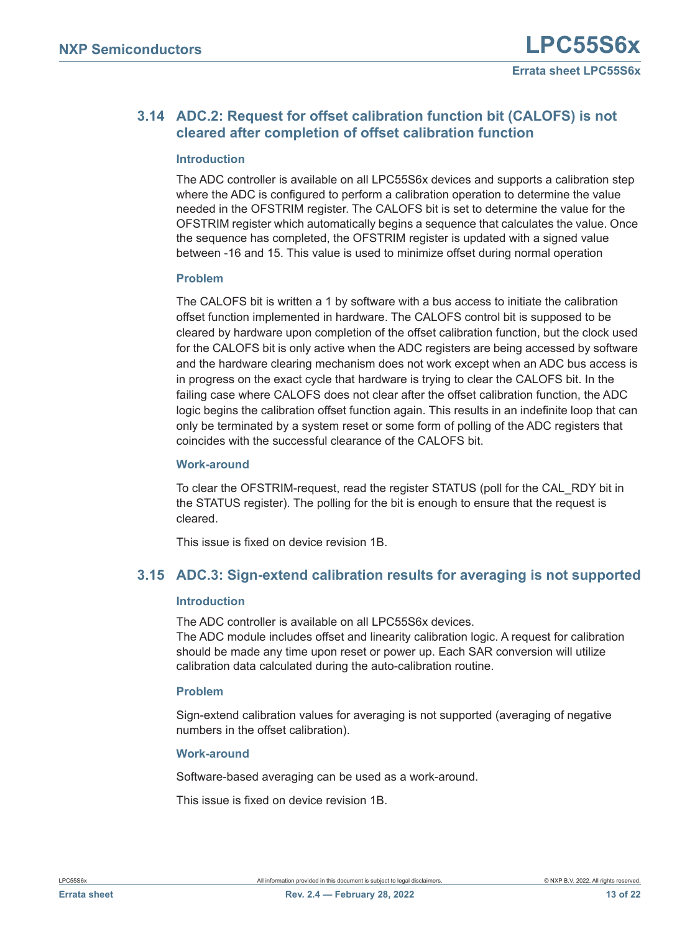# <span id="page-12-0"></span>**3.14 ADC.2: Request for offset calibration function bit (CALOFS) is not cleared after completion of offset calibration function**

# <span id="page-12-2"></span>**Introduction**

The ADC controller is available on all LPC55S6x devices and supports a calibration step where the ADC is configured to perform a calibration operation to determine the value needed in the OFSTRIM register. The CALOFS bit is set to determine the value for the OFSTRIM register which automatically begins a sequence that calculates the value. Once the sequence has completed, the OFSTRIM register is updated with a signed value between -16 and 15. This value is used to minimize offset during normal operation

# <span id="page-12-3"></span>**Problem**

The CALOFS bit is written a 1 by software with a bus access to initiate the calibration offset function implemented in hardware. The CALOFS control bit is supposed to be cleared by hardware upon completion of the offset calibration function, but the clock used for the CALOFS bit is only active when the ADC registers are being accessed by software and the hardware clearing mechanism does not work except when an ADC bus access is in progress on the exact cycle that hardware is trying to clear the CALOFS bit. In the failing case where CALOFS does not clear after the offset calibration function, the ADC logic begins the calibration offset function again. This results in an indefinite loop that can only be terminated by a system reset or some form of polling of the ADC registers that coincides with the successful clearance of the CALOFS bit.

# <span id="page-12-4"></span>**Work-around**

To clear the OFSTRIM-request, read the register STATUS (poll for the CAL\_RDY bit in the STATUS register). The polling for the bit is enough to ensure that the request is cleared.

This issue is fixed on device revision 1B.

# <span id="page-12-1"></span>**3.15 ADC.3: Sign-extend calibration results for averaging is not supported**

## <span id="page-12-5"></span>**Introduction**

The ADC controller is available on all LPC55S6x devices.

The ADC module includes offset and linearity calibration logic. A request for calibration should be made any time upon reset or power up. Each SAR conversion will utilize calibration data calculated during the auto-calibration routine.

# <span id="page-12-6"></span>**Problem**

Sign-extend calibration values for averaging is not supported (averaging of negative numbers in the offset calibration).

# <span id="page-12-7"></span>**Work-around**

Software-based averaging can be used as a work-around.

This issue is fixed on device revision 1B.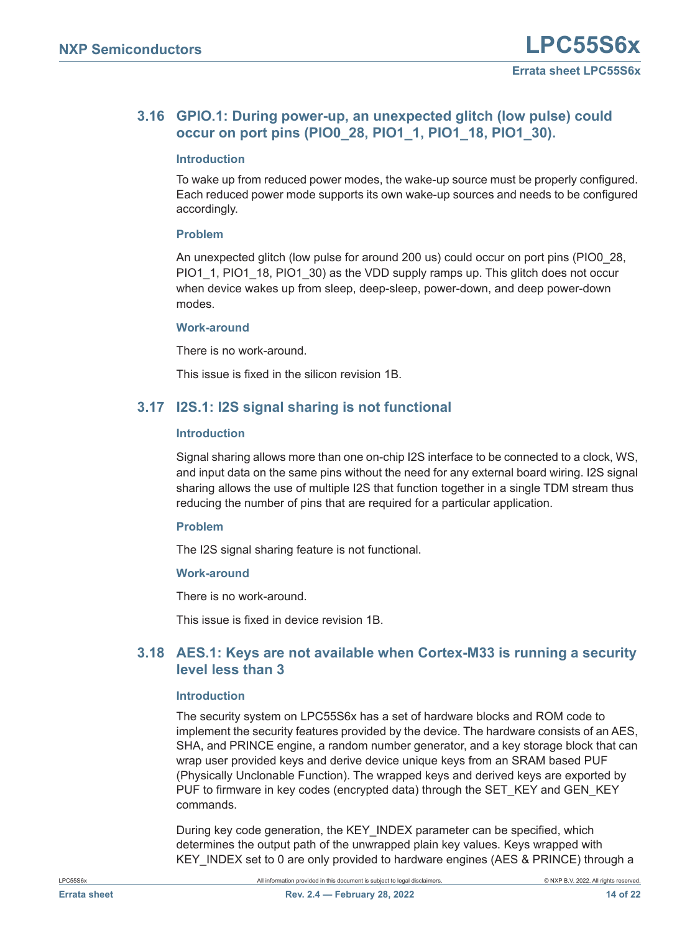# <span id="page-13-0"></span>**3.16 GPIO.1: During power-up, an unexpected glitch (low pulse) could occur on port pins (PIO0\_28, PIO1\_1, PIO1\_18, PIO1\_30).**

# <span id="page-13-3"></span>**Introduction**

To wake up from reduced power modes, the wake-up source must be properly configured. Each reduced power mode supports its own wake-up sources and needs to be configured accordingly.

# <span id="page-13-4"></span>**Problem**

An unexpected glitch (low pulse for around 200 us) could occur on port pins (PIO0\_28, PIO1\_1, PIO1\_18, PIO1\_30) as the VDD supply ramps up. This glitch does not occur when device wakes up from sleep, deep-sleep, power-down, and deep power-down modes.

# <span id="page-13-5"></span>**Work-around**

There is no work-around.

This issue is fixed in the silicon revision 1B.

# <span id="page-13-1"></span>**3.17 I2S.1: I2S signal sharing is not functional**

# <span id="page-13-6"></span>**Introduction**

Signal sharing allows more than one on-chip I2S interface to be connected to a clock, WS, and input data on the same pins without the need for any external board wiring. I2S signal sharing allows the use of multiple I2S that function together in a single TDM stream thus reducing the number of pins that are required for a particular application.

## <span id="page-13-7"></span>**Problem**

The I2S signal sharing feature is not functional.

## <span id="page-13-8"></span>**Work-around**

There is no work-around.

This issue is fixed in device revision 1B.

# <span id="page-13-2"></span>**3.18 AES.1: Keys are not available when Cortex-M33 is running a security level less than 3**

## <span id="page-13-9"></span>**Introduction**

The security system on LPC55S6x has a set of hardware blocks and ROM code to implement the security features provided by the device. The hardware consists of an AES, SHA, and PRINCE engine, a random number generator, and a key storage block that can wrap user provided keys and derive device unique keys from an SRAM based PUF (Physically Unclonable Function). The wrapped keys and derived keys are exported by PUF to firmware in key codes (encrypted data) through the SET\_KEY and GEN\_KEY commands.

During key code generation, the KEY\_INDEX parameter can be specified, which determines the output path of the unwrapped plain key values. Keys wrapped with KEY\_INDEX set to 0 are only provided to hardware engines (AES & PRINCE) through a

LPC55S6x **All information provided in this document** is subject to legal disclaimers. **COMPO B.V. 2022.** All rights reserved.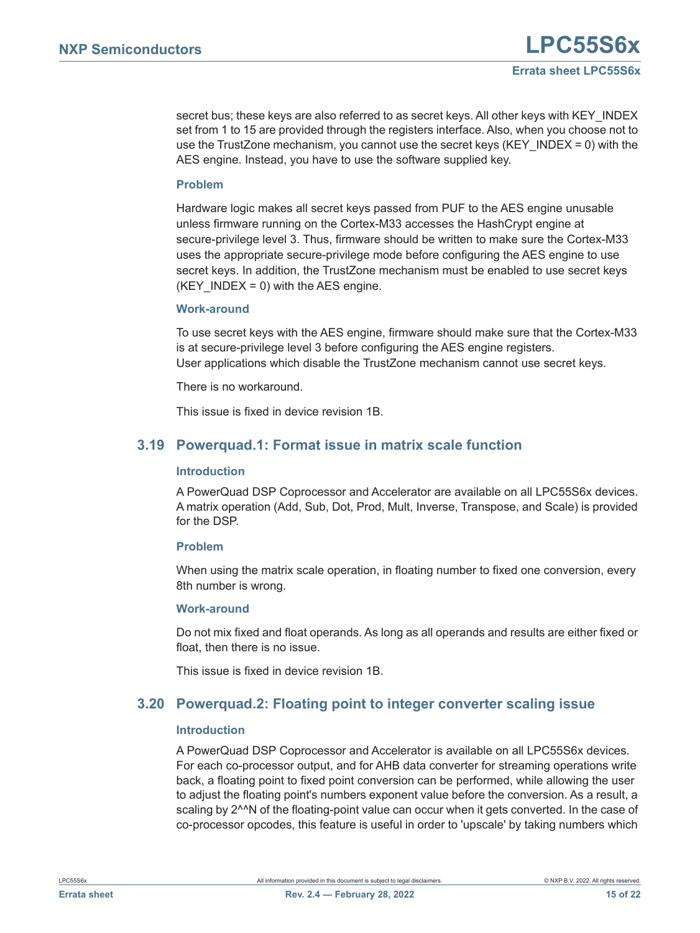secret bus; these keys are also referred to as secret keys. All other keys with KEY\_INDEX set from 1 to 15 are provided through the registers interface. Also, when you choose not to use the TrustZone mechanism, you cannot use the secret keys (KEY\_INDEX = 0) with the AES engine. Instead, you have to use the software supplied key.

# <span id="page-14-2"></span>**Problem**

Hardware logic makes all secret keys passed from PUF to the AES engine unusable unless firmware running on the Cortex-M33 accesses the HashCrypt engine at secure-privilege level 3. Thus, firmware should be written to make sure the Cortex-M33 uses the appropriate secure-privilege mode before configuring the AES engine to use secret keys. In addition, the TrustZone mechanism must be enabled to use secret keys (KEY INDEX = 0) with the AES engine.

## <span id="page-14-3"></span>**Work-around**

To use secret keys with the AES engine, firmware should make sure that the Cortex-M33 is at secure-privilege level 3 before configuring the AES engine registers. User applications which disable the TrustZone mechanism cannot use secret keys.

There is no workaround.

This issue is fixed in device revision 1B.

# <span id="page-14-0"></span>**3.19 Powerquad.1: Format issue in matrix scale function**

## <span id="page-14-4"></span>**Introduction**

A PowerQuad DSP Coprocessor and Accelerator are available on all LPC55S6x devices. A matrix operation (Add, Sub, Dot, Prod, Mult, Inverse, Transpose, and Scale) is provided for the DSP.

## <span id="page-14-5"></span>**Problem**

When using the matrix scale operation, in floating number to fixed one conversion, every 8th number is wrong.

## <span id="page-14-6"></span>**Work-around**

Do not mix fixed and float operands. As long as all operands and results are either fixed or float, then there is no issue.

This issue is fixed in device revision 1B.

# <span id="page-14-1"></span>**3.20 Powerquad.2: Floating point to integer converter scaling issue**

## <span id="page-14-7"></span>**Introduction**

A PowerQuad DSP Coprocessor and Accelerator is available on all LPC55S6x devices. For each co-processor output, and for AHB data converter for streaming operations write back, a floating point to fixed point conversion can be performed, while allowing the user to adjust the floating point's numbers exponent value before the conversion. As a result, a scaling by 2^^N of the floating-point value can occur when it gets converted. In the case of co-processor opcodes, this feature is useful in order to 'upscale' by taking numbers which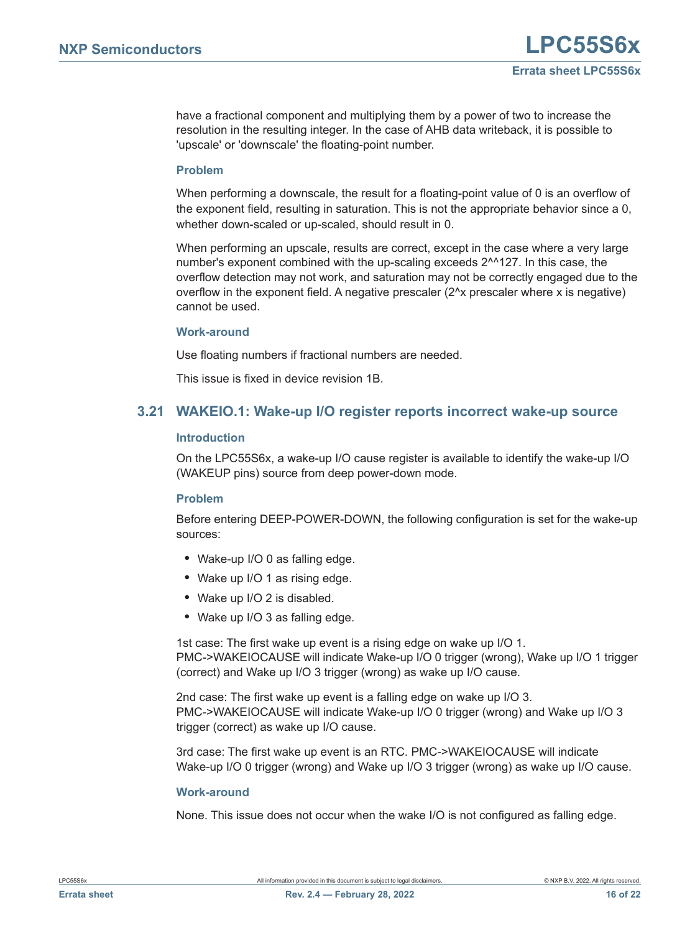have a fractional component and multiplying them by a power of two to increase the resolution in the resulting integer. In the case of AHB data writeback, it is possible to 'upscale' or 'downscale' the floating-point number.

## <span id="page-15-1"></span>**Problem**

When performing a downscale, the result for a floating-point value of 0 is an overflow of the exponent field, resulting in saturation. This is not the appropriate behavior since a 0, whether down-scaled or up-scaled, should result in 0.

When performing an upscale, results are correct, except in the case where a very large number's exponent combined with the up-scaling exceeds 2^^127. In this case, the overflow detection may not work, and saturation may not be correctly engaged due to the overflow in the exponent field. A negative prescaler  $(2^kx)$  prescaler where x is negative) cannot be used.

## <span id="page-15-2"></span>**Work-around**

Use floating numbers if fractional numbers are needed.

This issue is fixed in device revision 1B.

# <span id="page-15-0"></span>**3.21 WAKEIO.1: Wake-up I/O register reports incorrect wake-up source**

# <span id="page-15-3"></span>**Introduction**

On the LPC55S6x, a wake-up I/O cause register is available to identify the wake-up I/O (WAKEUP pins) source from deep power-down mode.

# <span id="page-15-4"></span>**Problem**

Before entering DEEP-POWER-DOWN, the following configuration is set for the wake-up sources:

- **•** Wake-up I/O 0 as falling edge.
- **•** Wake up I/O 1 as rising edge.
- **•** Wake up I/O 2 is disabled.
- **•** Wake up I/O 3 as falling edge.

1st case: The first wake up event is a rising edge on wake up I/O 1. PMC->WAKEIOCAUSE will indicate Wake-up I/O 0 trigger (wrong), Wake up I/O 1 trigger (correct) and Wake up I/O 3 trigger (wrong) as wake up I/O cause.

2nd case: The first wake up event is a falling edge on wake up I/O 3. PMC->WAKEIOCAUSE will indicate Wake-up I/O 0 trigger (wrong) and Wake up I/O 3 trigger (correct) as wake up I/O cause.

3rd case: The first wake up event is an RTC. PMC->WAKEIOCAUSE will indicate Wake-up I/O 0 trigger (wrong) and Wake up I/O 3 trigger (wrong) as wake up I/O cause.

## <span id="page-15-5"></span>**Work-around**

None. This issue does not occur when the wake I/O is not configured as falling edge.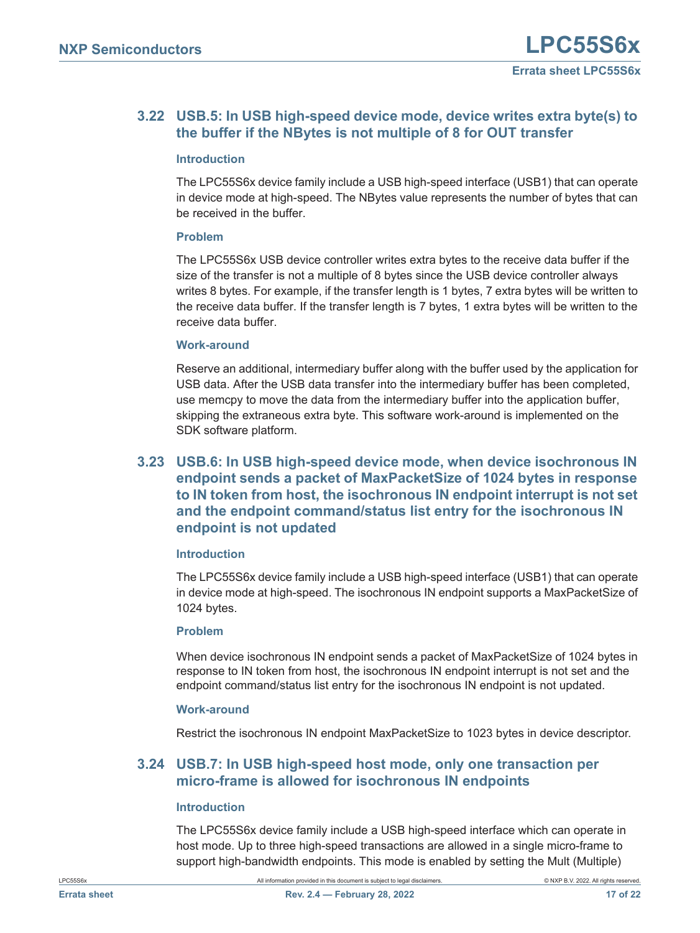# <span id="page-16-2"></span>**3.22 USB.5: In USB high-speed device mode, device writes extra byte(s) to the buffer if the NBytes is not multiple of 8 for OUT transfer**

# <span id="page-16-3"></span>**Introduction**

The LPC55S6x device family include a USB high-speed interface (USB1) that can operate in device mode at high-speed. The NBytes value represents the number of bytes that can be received in the buffer.

# <span id="page-16-4"></span>**Problem**

The LPC55S6x USB device controller writes extra bytes to the receive data buffer if the size of the transfer is not a multiple of 8 bytes since the USB device controller always writes 8 bytes. For example, if the transfer length is 1 bytes, 7 extra bytes will be written to the receive data buffer. If the transfer length is 7 bytes, 1 extra bytes will be written to the receive data buffer.

# <span id="page-16-5"></span>**Work-around**

Reserve an additional, intermediary buffer along with the buffer used by the application for USB data. After the USB data transfer into the intermediary buffer has been completed, use memcpy to move the data from the intermediary buffer into the application buffer, skipping the extraneous extra byte. This software work-around is implemented on the SDK software platform.

# <span id="page-16-0"></span>**3.23 USB.6: In USB high-speed device mode, when device isochronous IN endpoint sends a packet of MaxPacketSize of 1024 bytes in response to IN token from host, the isochronous IN endpoint interrupt is not set and the endpoint command/status list entry for the isochronous IN endpoint is not updated**

# <span id="page-16-6"></span>**Introduction**

The LPC55S6x device family include a USB high-speed interface (USB1) that can operate in device mode at high-speed. The isochronous IN endpoint supports a MaxPacketSize of 1024 bytes.

## <span id="page-16-7"></span>**Problem**

When device isochronous IN endpoint sends a packet of MaxPacketSize of 1024 bytes in response to IN token from host, the isochronous IN endpoint interrupt is not set and the endpoint command/status list entry for the isochronous IN endpoint is not updated.

# <span id="page-16-8"></span>**Work-around**

Restrict the isochronous IN endpoint MaxPacketSize to 1023 bytes in device descriptor.

# <span id="page-16-1"></span>**3.24 USB.7: In USB high-speed host mode, only one transaction per micro-frame is allowed for isochronous IN endpoints**

# <span id="page-16-9"></span>**Introduction**

The LPC55S6x device family include a USB high-speed interface which can operate in host mode. Up to three high-speed transactions are allowed in a single micro-frame to support high-bandwidth endpoints. This mode is enabled by setting the Mult (Multiple)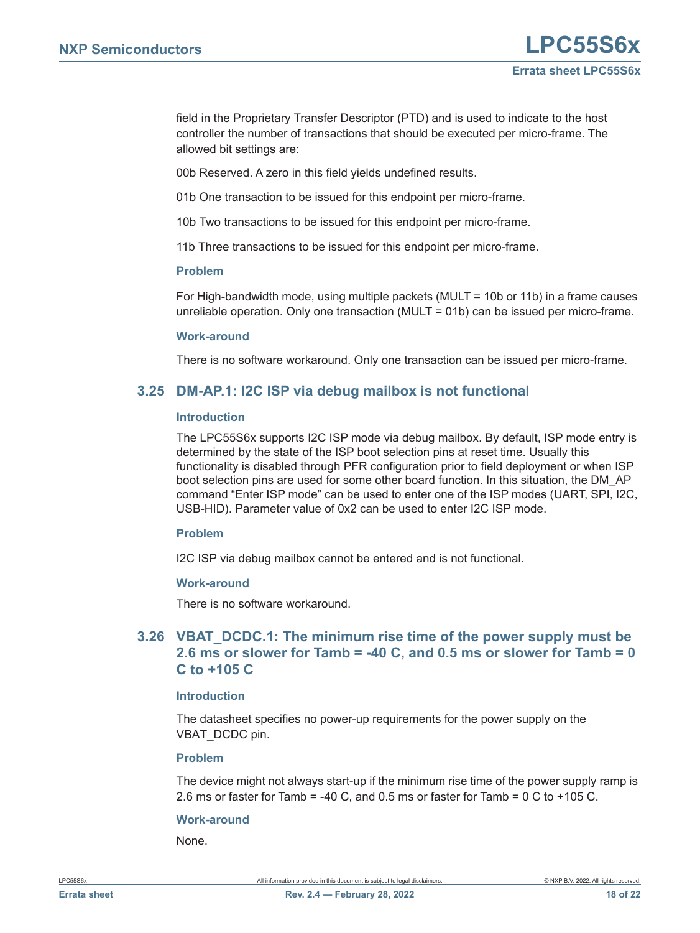field in the Proprietary Transfer Descriptor (PTD) and is used to indicate to the host controller the number of transactions that should be executed per micro-frame. The allowed bit settings are:

00b Reserved. A zero in this field yields undefined results.

01b One transaction to be issued for this endpoint per micro-frame.

10b Two transactions to be issued for this endpoint per micro-frame.

11b Three transactions to be issued for this endpoint per micro-frame.

#### <span id="page-17-2"></span>**Problem**

For High-bandwidth mode, using multiple packets (MULT = 10b or 11b) in a frame causes unreliable operation. Only one transaction (MULT = 01b) can be issued per micro-frame.

#### <span id="page-17-3"></span>**Work-around**

There is no software workaround. Only one transaction can be issued per micro-frame.

# <span id="page-17-0"></span>**3.25 DM-AP.1: I2C ISP via debug mailbox is not functional**

#### <span id="page-17-4"></span>**Introduction**

The LPC55S6x supports I2C ISP mode via debug mailbox. By default, ISP mode entry is determined by the state of the ISP boot selection pins at reset time. Usually this functionality is disabled through PFR configuration prior to field deployment or when ISP boot selection pins are used for some other board function. In this situation, the DM\_AP command "Enter ISP mode" can be used to enter one of the ISP modes (UART, SPI, I2C, USB-HID). Parameter value of 0x2 can be used to enter I2C ISP mode.

## <span id="page-17-5"></span>**Problem**

I2C ISP via debug mailbox cannot be entered and is not functional.

## <span id="page-17-6"></span>**Work-around**

There is no software workaround.

# <span id="page-17-1"></span>**3.26 VBAT\_DCDC.1: The minimum rise time of the power supply must be 2.6 ms or slower for Tamb = -40 C, and 0.5 ms or slower for Tamb = 0 C to +105 C**

#### <span id="page-17-7"></span>**Introduction**

The datasheet specifies no power-up requirements for the power supply on the VBAT\_DCDC pin.

#### <span id="page-17-8"></span>**Problem**

The device might not always start-up if the minimum rise time of the power supply ramp is 2.6 ms or faster for Tamb = -40 C, and 0.5 ms or faster for Tamb = 0 C to +105 C.

## <span id="page-17-9"></span>**Work-around**

None.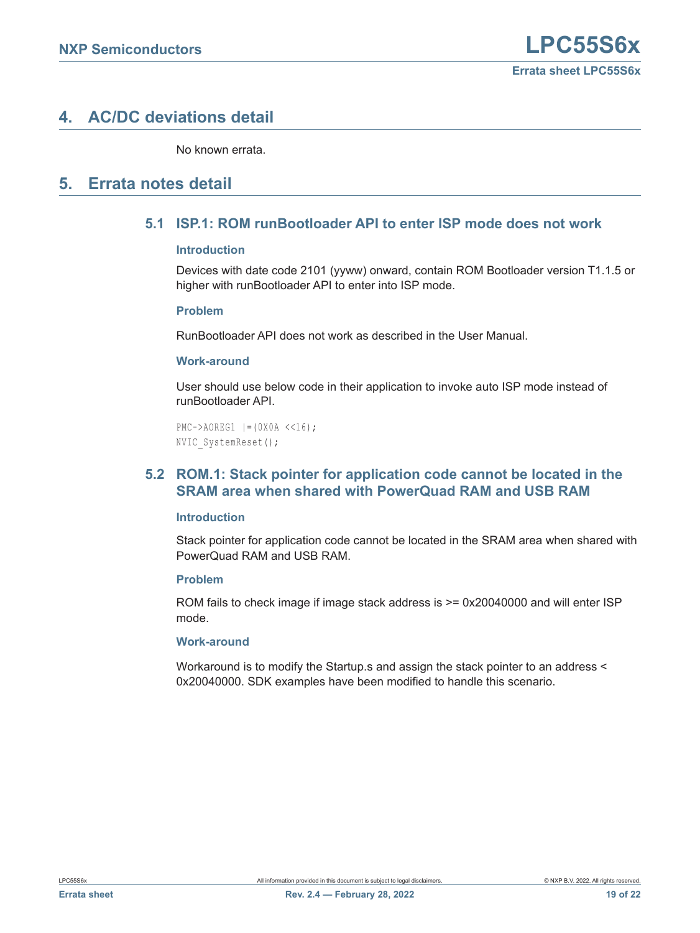# <span id="page-18-3"></span>**4. AC/DC deviations detail**

No known errata.

# <span id="page-18-1"></span><span id="page-18-0"></span>**5. Errata notes detail**

# **5.1 ISP.1: ROM runBootloader API to enter ISP mode does not work**

# **Introduction**

Devices with date code 2101 (yyww) onward, contain ROM Bootloader version T1.1.5 or higher with runBootloader API to enter into ISP mode.

# **Problem**

RunBootloader API does not work as described in the User Manual.

# **Work-around**

User should use below code in their application to invoke auto ISP mode instead of runBootloader API.

```
PMC->AOREG1 |=(0X0A <<16);NVIC_SystemReset();
```
# <span id="page-18-2"></span>**5.2 ROM.1: Stack pointer for application code cannot be located in the SRAM area when shared with PowerQuad RAM and USB RAM**

## <span id="page-18-4"></span>**Introduction**

Stack pointer for application code cannot be located in the SRAM area when shared with PowerQuad RAM and USB RAM.

# <span id="page-18-5"></span>**Problem**

ROM fails to check image if image stack address is  $>= 0x20040000$  and will enter ISP mode.

## <span id="page-18-6"></span>**Work-around**

Workaround is to modify the Startup.s and assign the stack pointer to an address < 0x20040000. SDK examples have been modified to handle this scenario.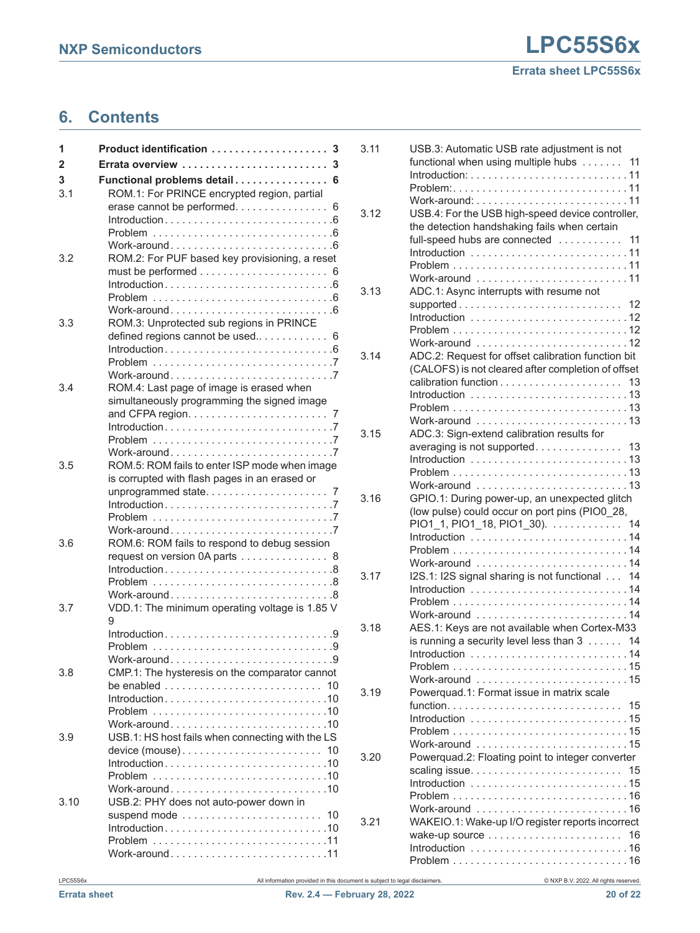# <span id="page-19-0"></span>**6. Contents**

| 1    | Product identification<br>3                                                                    |
|------|------------------------------------------------------------------------------------------------|
| 2    | 3                                                                                              |
| 3    | Functional problems detail<br>6                                                                |
| 3.1  | ROM.1: For PRINCE encrypted region, partial                                                    |
|      | erase cannot be performed<br>6                                                                 |
|      |                                                                                                |
|      |                                                                                                |
|      |                                                                                                |
| 3.2  | ROM.2: For PUF based key provisioning, a reset                                                 |
|      |                                                                                                |
|      | $Introduction.$                                                                                |
|      |                                                                                                |
| 3.3  | ROM.3: Unprotected sub regions in PRINCE                                                       |
|      | defined regions cannot be used<br>6                                                            |
|      |                                                                                                |
|      |                                                                                                |
|      |                                                                                                |
| 3.4  | ROM.4: Last page of image is erased when                                                       |
|      | simultaneously programming the signed image                                                    |
|      | and CFPA region. $\ldots \ldots \ldots \ldots \ldots \ldots$                                   |
|      |                                                                                                |
|      |                                                                                                |
| 3.5  |                                                                                                |
|      | ROM.5: ROM fails to enter ISP mode when image<br>is corrupted with flash pages in an erased or |
|      | unprogrammed state<br>7                                                                        |
|      |                                                                                                |
|      | Problem 7                                                                                      |
|      |                                                                                                |
| 3.6  | ROM.6: ROM fails to respond to debug session                                                   |
|      | request on version 0A parts 8                                                                  |
|      | Introduction8                                                                                  |
|      |                                                                                                |
| 3.7  | VDD.1: The minimum operating voltage is 1.85 V                                                 |
|      | 9                                                                                              |
|      | Introduction9                                                                                  |
|      |                                                                                                |
|      |                                                                                                |
| 3.8  | CMP.1: The hysteresis on the comparator cannot                                                 |
|      | 10                                                                                             |
|      | $Introduction. 10$                                                                             |
|      |                                                                                                |
|      |                                                                                                |
| 3.9  | USB.1: HS host fails when connecting with the LS                                               |
|      |                                                                                                |
|      |                                                                                                |
|      |                                                                                                |
| 3.10 | USB.2: PHY does not auto-power down in                                                         |
|      |                                                                                                |
|      |                                                                                                |
|      |                                                                                                |
|      | Work-around11                                                                                  |
|      |                                                                                                |

| 3.11 | USB.3: Automatic USB rate adjustment is not                               |
|------|---------------------------------------------------------------------------|
|      | functional when using multiple hubs<br>11                                 |
|      |                                                                           |
|      |                                                                           |
|      |                                                                           |
| 3.12 | USB.4: For the USB high-speed device controller,                          |
|      | the detection handshaking fails when certain                              |
|      | full-speed hubs are connected<br>11                                       |
|      | Introduction $\ldots \ldots \ldots \ldots \ldots \ldots \ldots \ldots 11$ |
|      |                                                                           |
|      | Work-around 11                                                            |
| 3.13 | ADC.1: Async interrupts with resume not                                   |
|      |                                                                           |
|      | supported<br>12                                                           |
|      |                                                                           |
|      |                                                                           |
|      | Work-around 12                                                            |
| 3.14 | ADC.2: Request for offset calibration function bit                        |
|      | (CALOFS) is not cleared after completion of offset                        |
|      | 13                                                                        |
|      |                                                                           |
|      |                                                                           |
|      | Work-around 13                                                            |
| 3.15 | ADC.3: Sign-extend calibration results for                                |
|      | averaging is not supported 13                                             |
|      |                                                                           |
|      | $Problem \ldots \ldots \ldots \ldots \ldots \ldots \ldots \ldots$         |
|      | Work-around 13                                                            |
| 3.16 | GPIO.1: During power-up, an unexpected glitch                             |
|      |                                                                           |
|      |                                                                           |
|      | (low pulse) could occur on port pins (PIO0_28,                            |
|      | PIO1_1, PIO1_18, PIO1_30).<br>14                                          |
|      |                                                                           |
|      |                                                                           |
|      | Work-around 14                                                            |
| 3.17 | I2S.1: I2S signal sharing is not functional<br>14                         |
|      |                                                                           |
|      |                                                                           |
|      | Work-around 14                                                            |
| 3.18 | AES.1: Keys are not available when Cortex-M33                             |
|      | is running a security level less than $3$<br>14                           |
|      |                                                                           |
|      |                                                                           |
|      | Work-around 15                                                            |
| 3.19 | Powerquad.1: Format issue in matrix scale                                 |
|      | 15                                                                        |
|      |                                                                           |
|      |                                                                           |
|      |                                                                           |
|      | Work-around 15                                                            |
| 3.20 | Powerquad.2: Floating point to integer converter                          |
|      | 15                                                                        |
|      |                                                                           |
|      |                                                                           |
|      | Work-around 16                                                            |
| 3.21 | WAKEIO.1: Wake-up I/O register reports incorrect                          |
|      | 16                                                                        |
|      | $Problem \ldots \ldots \ldots \ldots \ldots \ldots \ldots \ldots$         |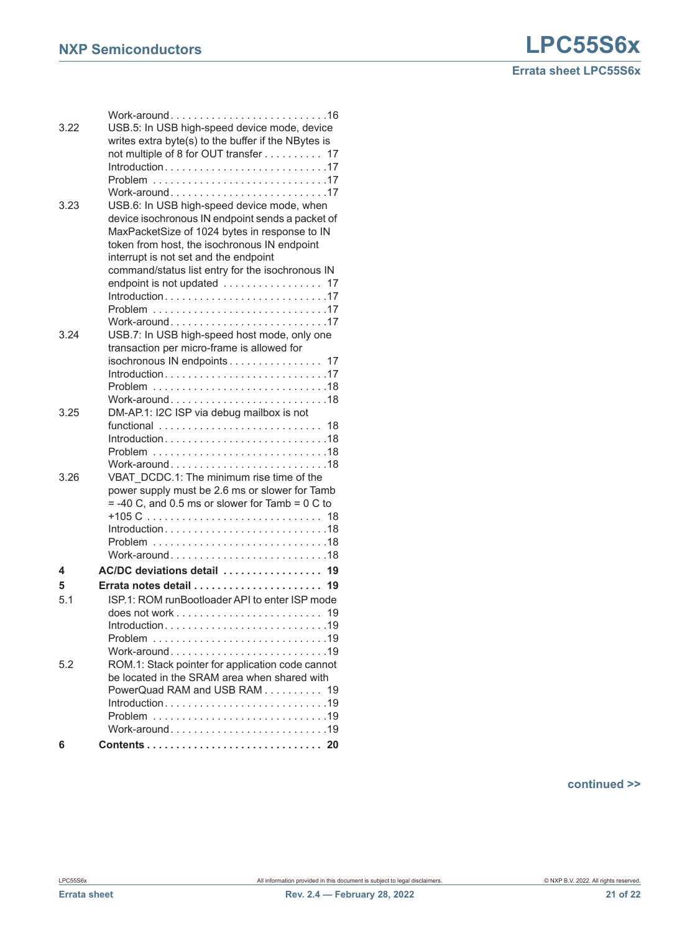| 3.22 | Work-around16<br>USB.5: In USB high-speed device mode, device                                    |
|------|--------------------------------------------------------------------------------------------------|
|      | writes extra byte(s) to the buffer if the NBytes is                                              |
|      | not multiple of 8 for OUT transfer<br>17                                                         |
|      |                                                                                                  |
|      | Work-around17                                                                                    |
| 3.23 | USB.6: In USB high-speed device mode, when                                                       |
|      | device isochronous IN endpoint sends a packet of                                                 |
|      | MaxPacketSize of 1024 bytes in response to IN                                                    |
|      | token from host, the isochronous IN endpoint                                                     |
|      | interrupt is not set and the endpoint                                                            |
|      | command/status list entry for the isochronous IN                                                 |
|      | endpoint is not updated  17                                                                      |
|      |                                                                                                  |
|      | Work-around17                                                                                    |
| 3.24 | USB.7: In USB high-speed host mode, only one                                                     |
|      | transaction per micro-frame is allowed for                                                       |
|      | isochronous IN endpoints 17                                                                      |
|      |                                                                                                  |
|      |                                                                                                  |
|      | Work-around18                                                                                    |
| 3.25 | DM-AP.1: I2C ISP via debug mailbox is not                                                        |
|      | functional  18                                                                                   |
|      |                                                                                                  |
|      | Work-around18                                                                                    |
| 3.26 | VBAT DCDC.1: The minimum rise time of the                                                        |
|      | power supply must be 2.6 ms or slower for Tamb                                                   |
|      | $= -40$ C, and 0.5 ms or slower for Tamb = 0 C to                                                |
|      |                                                                                                  |
|      | $Introduction \dots \dots \dots \dots \dots \dots \dots \dots \dots \dots \dots 18$              |
|      |                                                                                                  |
|      | Work-around18                                                                                    |
| 4    | AC/DC deviations detail  19                                                                      |
| 5    |                                                                                                  |
| 5.1  | ISP.1: ROM runBootloader API to enter ISP mode                                                   |
|      | does not work $\ldots$ , $\ldots$ , $\ldots$ , $\ldots$ , $\ldots$ , $\ldots$                    |
|      |                                                                                                  |
|      |                                                                                                  |
|      | Work-around19                                                                                    |
| 5.2  | ROM.1: Stack pointer for application code cannot<br>be located in the SRAM area when shared with |
|      | PowerQuad RAM and USB RAM 19                                                                     |
|      |                                                                                                  |
|      |                                                                                                  |
|      | Work-around19                                                                                    |
| 6    |                                                                                                  |
|      |                                                                                                  |

**continued >>**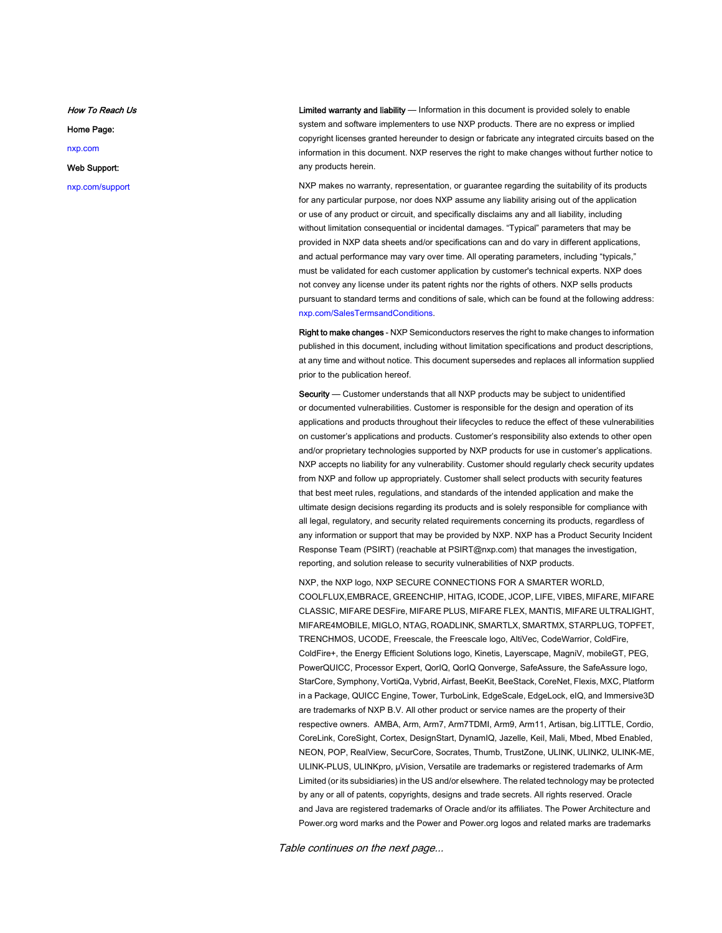How To Reach Us

Home Page:

[nxp.com](http://www.nxp.com)

Web Support:

[nxp.com/support](http://www.nxp.com/support)

Limited warranty and liability - Information in this document is provided solely to enable system and software implementers to use NXP products. There are no express or implied copyright licenses granted hereunder to design or fabricate any integrated circuits based on the information in this document. NXP reserves the right to make changes without further notice to any products herein.

NXP makes no warranty, representation, or guarantee regarding the suitability of its products for any particular purpose, nor does NXP assume any liability arising out of the application or use of any product or circuit, and specifically disclaims any and all liability, including without limitation consequential or incidental damages. "Typical" parameters that may be provided in NXP data sheets and/or specifications can and do vary in different applications, and actual performance may vary over time. All operating parameters, including "typicals," must be validated for each customer application by customer's technical experts. NXP does not convey any license under its patent rights nor the rights of others. NXP sells products pursuant to standard terms and conditions of sale, which can be found at the following address: [nxp.com/SalesTermsandConditions](http://www.nxp.com/SalesTermsandConditions).

Right to make changes - NXP Semiconductors reserves the right to make changes to information published in this document, including without limitation specifications and product descriptions, at any time and without notice. This document supersedes and replaces all information supplied prior to the publication hereof.

Security - Customer understands that all NXP products may be subject to unidentified or documented vulnerabilities. Customer is responsible for the design and operation of its applications and products throughout their lifecycles to reduce the effect of these vulnerabilities on customer's applications and products. Customer's responsibility also extends to other open and/or proprietary technologies supported by NXP products for use in customer's applications. NXP accepts no liability for any vulnerability. Customer should regularly check security updates from NXP and follow up appropriately. Customer shall select products with security features that best meet rules, regulations, and standards of the intended application and make the ultimate design decisions regarding its products and is solely responsible for compliance with all legal, regulatory, and security related requirements concerning its products, regardless of any information or support that may be provided by NXP. NXP has a Product Security Incident Response Team (PSIRT) (reachable at PSIRT@nxp.com) that manages the investigation, reporting, and solution release to security vulnerabilities of NXP products.

NXP, the NXP logo, NXP SECURE CONNECTIONS FOR A SMARTER WORLD, COOLFLUX,EMBRACE, GREENCHIP, HITAG, ICODE, JCOP, LIFE, VIBES, MIFARE, MIFARE CLASSIC, MIFARE DESFire, MIFARE PLUS, MIFARE FLEX, MANTIS, MIFARE ULTRALIGHT, MIFARE4MOBILE, MIGLO, NTAG, ROADLINK, SMARTLX, SMARTMX, STARPLUG, TOPFET, TRENCHMOS, UCODE, Freescale, the Freescale logo, AltiVec, CodeWarrior, ColdFire, ColdFire+, the Energy Efficient Solutions logo, Kinetis, Layerscape, MagniV, mobileGT, PEG, PowerQUICC, Processor Expert, QorIQ, QorIQ Qonverge, SafeAssure, the SafeAssure logo, StarCore, Symphony, VortiQa, Vybrid, Airfast, BeeKit, BeeStack, CoreNet, Flexis, MXC, Platform in a Package, QUICC Engine, Tower, TurboLink, EdgeScale, EdgeLock, eIQ, and Immersive3D are trademarks of NXP B.V. All other product or service names are the property of their respective owners. AMBA, Arm, Arm7, Arm7TDMI, Arm9, Arm11, Artisan, big.LITTLE, Cordio, CoreLink, CoreSight, Cortex, DesignStart, DynamIQ, Jazelle, Keil, Mali, Mbed, Mbed Enabled, NEON, POP, RealView, SecurCore, Socrates, Thumb, TrustZone, ULINK, ULINK2, ULINK-ME, ULINK-PLUS, ULINKpro, µVision, Versatile are trademarks or registered trademarks of Arm Limited (or its subsidiaries) in the US and/or elsewhere. The related technology may be protected by any or all of patents, copyrights, designs and trade secrets. All rights reserved. Oracle and Java are registered trademarks of Oracle and/or its affiliates. The Power Architecture and Power.org word marks and the Power and Power.org logos and related marks are trademarks

Table continues on the next page...